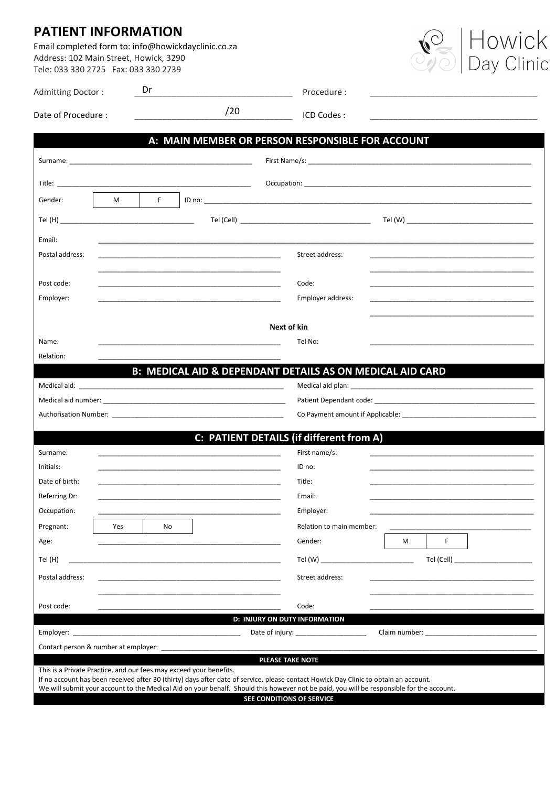## **PATIENT INFORMATION**

Email completed form to: info@howickdayclinic.co.za Address: 102 Main Street, Howick, 3290 Tele: 033 330 2725 Fax: 033 330 2739



| Admitting Doctor:                                                                                                                                                                                                                                                                                                                                                                   | Dr                                                                                                                                                                                                                             |     | Procedure:                                                |                                                                                                                        |  |
|-------------------------------------------------------------------------------------------------------------------------------------------------------------------------------------------------------------------------------------------------------------------------------------------------------------------------------------------------------------------------------------|--------------------------------------------------------------------------------------------------------------------------------------------------------------------------------------------------------------------------------|-----|-----------------------------------------------------------|------------------------------------------------------------------------------------------------------------------------|--|
| Date of Procedure:                                                                                                                                                                                                                                                                                                                                                                  |                                                                                                                                                                                                                                | /20 | ICD Codes:                                                | <u> 1989 - Johann John Stone, mars et al. 1989 - John Stone, mars et al. 1989 - John Stone, mars et al. 1989 - Joh</u> |  |
|                                                                                                                                                                                                                                                                                                                                                                                     |                                                                                                                                                                                                                                |     | A: MAIN MEMBER OR PERSON RESPONSIBLE FOR ACCOUNT          |                                                                                                                        |  |
|                                                                                                                                                                                                                                                                                                                                                                                     | Surname: North Communication of the Communication of the Communication of the Communication of the Communication of the Communication of the Communication of the Communication of the Communication of the Communication of t |     |                                                           |                                                                                                                        |  |
|                                                                                                                                                                                                                                                                                                                                                                                     | Title: <u>www.community.community.community.com</u>                                                                                                                                                                            |     |                                                           |                                                                                                                        |  |
| Gender:                                                                                                                                                                                                                                                                                                                                                                             | F.<br>M                                                                                                                                                                                                                        |     |                                                           |                                                                                                                        |  |
|                                                                                                                                                                                                                                                                                                                                                                                     | $\mathsf{Tel}(\mathsf{H})$                                                                                                                                                                                                     |     |                                                           |                                                                                                                        |  |
| Email:                                                                                                                                                                                                                                                                                                                                                                              |                                                                                                                                                                                                                                |     |                                                           |                                                                                                                        |  |
| Postal address:                                                                                                                                                                                                                                                                                                                                                                     | the control of the control of the control of the control of the control of the control of the control of the control of the control of the control of the control of the control of the control of the control of the control  |     | Street address:                                           |                                                                                                                        |  |
| Post code:                                                                                                                                                                                                                                                                                                                                                                          |                                                                                                                                                                                                                                |     | Code:                                                     |                                                                                                                        |  |
| Employer:                                                                                                                                                                                                                                                                                                                                                                           |                                                                                                                                                                                                                                |     | Employer address:                                         |                                                                                                                        |  |
|                                                                                                                                                                                                                                                                                                                                                                                     |                                                                                                                                                                                                                                |     |                                                           |                                                                                                                        |  |
|                                                                                                                                                                                                                                                                                                                                                                                     |                                                                                                                                                                                                                                |     | Next of kin                                               |                                                                                                                        |  |
| Name:<br>Relation:                                                                                                                                                                                                                                                                                                                                                                  |                                                                                                                                                                                                                                |     | Tel No:                                                   |                                                                                                                        |  |
|                                                                                                                                                                                                                                                                                                                                                                                     |                                                                                                                                                                                                                                |     | B: MEDICAL AID & DEPENDANT DETAILS AS ON MEDICAL AID CARD |                                                                                                                        |  |
|                                                                                                                                                                                                                                                                                                                                                                                     |                                                                                                                                                                                                                                |     |                                                           | Medical aid plan: New York Changes and Discovery Medical aid plan:                                                     |  |
|                                                                                                                                                                                                                                                                                                                                                                                     |                                                                                                                                                                                                                                |     |                                                           |                                                                                                                        |  |
|                                                                                                                                                                                                                                                                                                                                                                                     |                                                                                                                                                                                                                                |     |                                                           | Co Payment amount if Applicable: Co Payment amount if Applicable:                                                      |  |
|                                                                                                                                                                                                                                                                                                                                                                                     |                                                                                                                                                                                                                                |     | C: PATIENT DETAILS (if different from A)                  |                                                                                                                        |  |
| Surname:                                                                                                                                                                                                                                                                                                                                                                            |                                                                                                                                                                                                                                |     | First name/s:                                             |                                                                                                                        |  |
| Initials:                                                                                                                                                                                                                                                                                                                                                                           | <u> 1989 - Johann John Stein, markin fan it ferstjer fan it ferstjer fan it ferstjer fan it ferstjer fan it fers</u>                                                                                                           |     | ID no:                                                    |                                                                                                                        |  |
| Date of birth:                                                                                                                                                                                                                                                                                                                                                                      |                                                                                                                                                                                                                                |     | Title:                                                    |                                                                                                                        |  |
| Referring Dr:                                                                                                                                                                                                                                                                                                                                                                       |                                                                                                                                                                                                                                |     | Email:                                                    |                                                                                                                        |  |
| Occupation:                                                                                                                                                                                                                                                                                                                                                                         |                                                                                                                                                                                                                                |     | Employer:                                                 |                                                                                                                        |  |
| Pregnant:                                                                                                                                                                                                                                                                                                                                                                           | Yes<br>No                                                                                                                                                                                                                      |     | Relation to main member:                                  |                                                                                                                        |  |
| Age:                                                                                                                                                                                                                                                                                                                                                                                |                                                                                                                                                                                                                                |     | Gender:                                                   | F.<br>M                                                                                                                |  |
| Tel (H)                                                                                                                                                                                                                                                                                                                                                                             |                                                                                                                                                                                                                                |     | Tel (W)                                                   | Tel (Cell) and the control of the control of the control of the control of the control of the control of the c         |  |
| Postal address:                                                                                                                                                                                                                                                                                                                                                                     |                                                                                                                                                                                                                                |     | Street address:                                           |                                                                                                                        |  |
| Post code:                                                                                                                                                                                                                                                                                                                                                                          |                                                                                                                                                                                                                                |     | Code:                                                     |                                                                                                                        |  |
|                                                                                                                                                                                                                                                                                                                                                                                     |                                                                                                                                                                                                                                |     | <b>D: INJURY ON DUTY INFORMATION</b>                      |                                                                                                                        |  |
| Date of injury:                                                                                                                                                                                                                                                                                                                                                                     |                                                                                                                                                                                                                                |     |                                                           |                                                                                                                        |  |
| Contact person & number at employer:<br>PLEASE TAKE NOTE                                                                                                                                                                                                                                                                                                                            |                                                                                                                                                                                                                                |     |                                                           |                                                                                                                        |  |
| This is a Private Practice, and our fees may exceed your benefits.<br>If no account has been received after 30 (thirty) days after date of service, please contact Howick Day Clinic to obtain an account.<br>We will submit your account to the Medical Aid on your behalf. Should this however not be paid, you will be responsible for the account.<br>CEE CONDITIONS OF CERVICE |                                                                                                                                                                                                                                |     |                                                           |                                                                                                                        |  |

SEE CONDITIONS OF SERVICE